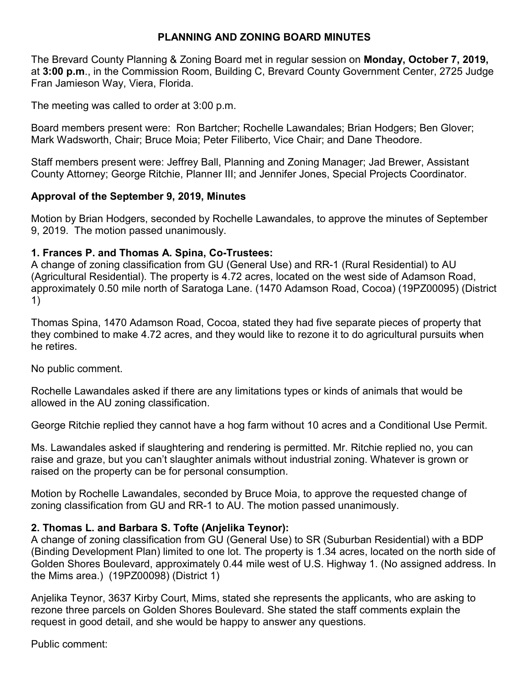# **PLANNING AND ZONING BOARD MINUTES**

The Brevard County Planning & Zoning Board met in regular session on **Monday, October 7, 2019,** at **3:00 p.m**., in the Commission Room, Building C, Brevard County Government Center, 2725 Judge Fran Jamieson Way, Viera, Florida.

The meeting was called to order at 3:00 p.m.

Board members present were: Ron Bartcher; Rochelle Lawandales; Brian Hodgers; Ben Glover; Mark Wadsworth, Chair; Bruce Moia; Peter Filiberto, Vice Chair; and Dane Theodore.

Staff members present were: Jeffrey Ball, Planning and Zoning Manager; Jad Brewer, Assistant County Attorney; George Ritchie, Planner III; and Jennifer Jones, Special Projects Coordinator.

### **Approval of the September 9, 2019, Minutes**

Motion by Brian Hodgers, seconded by Rochelle Lawandales, to approve the minutes of September 9, 2019. The motion passed unanimously.

### **1. Frances P. and Thomas A. Spina, Co-Trustees:**

A change of zoning classification from GU (General Use) and RR-1 (Rural Residential) to AU (Agricultural Residential). The property is 4.72 acres, located on the west side of Adamson Road, approximately 0.50 mile north of Saratoga Lane. (1470 Adamson Road, Cocoa) (19PZ00095) (District 1)

Thomas Spina, 1470 Adamson Road, Cocoa, stated they had five separate pieces of property that they combined to make 4.72 acres, and they would like to rezone it to do agricultural pursuits when he retires.

No public comment.

Rochelle Lawandales asked if there are any limitations types or kinds of animals that would be allowed in the AU zoning classification.

George Ritchie replied they cannot have a hog farm without 10 acres and a Conditional Use Permit.

Ms. Lawandales asked if slaughtering and rendering is permitted. Mr. Ritchie replied no, you can raise and graze, but you can't slaughter animals without industrial zoning. Whatever is grown or raised on the property can be for personal consumption.

Motion by Rochelle Lawandales, seconded by Bruce Moia, to approve the requested change of zoning classification from GU and RR-1 to AU. The motion passed unanimously.

### **2. Thomas L. and Barbara S. Tofte (Anjelika Teynor):**

A change of zoning classification from GU (General Use) to SR (Suburban Residential) with a BDP (Binding Development Plan) limited to one lot. The property is 1.34 acres, located on the north side of Golden Shores Boulevard, approximately 0.44 mile west of U.S. Highway 1. (No assigned address. In the Mims area.) (19PZ00098) (District 1)

Anjelika Teynor, 3637 Kirby Court, Mims, stated she represents the applicants, who are asking to rezone three parcels on Golden Shores Boulevard. She stated the staff comments explain the request in good detail, and she would be happy to answer any questions.

Public comment: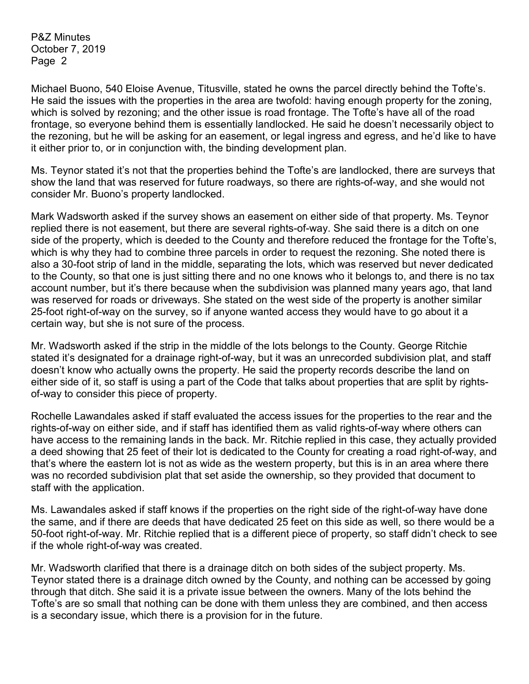Michael Buono, 540 Eloise Avenue, Titusville, stated he owns the parcel directly behind the Tofte's. He said the issues with the properties in the area are twofold: having enough property for the zoning, which is solved by rezoning; and the other issue is road frontage. The Tofte's have all of the road frontage, so everyone behind them is essentially landlocked. He said he doesn't necessarily object to the rezoning, but he will be asking for an easement, or legal ingress and egress, and he'd like to have it either prior to, or in conjunction with, the binding development plan.

Ms. Teynor stated it's not that the properties behind the Tofte's are landlocked, there are surveys that show the land that was reserved for future roadways, so there are rights-of-way, and she would not consider Mr. Buono's property landlocked.

Mark Wadsworth asked if the survey shows an easement on either side of that property. Ms. Teynor replied there is not easement, but there are several rights-of-way. She said there is a ditch on one side of the property, which is deeded to the County and therefore reduced the frontage for the Tofte's, which is why they had to combine three parcels in order to request the rezoning. She noted there is also a 30-foot strip of land in the middle, separating the lots, which was reserved but never dedicated to the County, so that one is just sitting there and no one knows who it belongs to, and there is no tax account number, but it's there because when the subdivision was planned many years ago, that land was reserved for roads or driveways. She stated on the west side of the property is another similar 25-foot right-of-way on the survey, so if anyone wanted access they would have to go about it a certain way, but she is not sure of the process.

Mr. Wadsworth asked if the strip in the middle of the lots belongs to the County. George Ritchie stated it's designated for a drainage right-of-way, but it was an unrecorded subdivision plat, and staff doesn't know who actually owns the property. He said the property records describe the land on either side of it, so staff is using a part of the Code that talks about properties that are split by rightsof-way to consider this piece of property.

Rochelle Lawandales asked if staff evaluated the access issues for the properties to the rear and the rights-of-way on either side, and if staff has identified them as valid rights-of-way where others can have access to the remaining lands in the back. Mr. Ritchie replied in this case, they actually provided a deed showing that 25 feet of their lot is dedicated to the County for creating a road right-of-way, and that's where the eastern lot is not as wide as the western property, but this is in an area where there was no recorded subdivision plat that set aside the ownership, so they provided that document to staff with the application.

Ms. Lawandales asked if staff knows if the properties on the right side of the right-of-way have done the same, and if there are deeds that have dedicated 25 feet on this side as well, so there would be a 50-foot right-of-way. Mr. Ritchie replied that is a different piece of property, so staff didn't check to see if the whole right-of-way was created.

Mr. Wadsworth clarified that there is a drainage ditch on both sides of the subject property. Ms. Teynor stated there is a drainage ditch owned by the County, and nothing can be accessed by going through that ditch. She said it is a private issue between the owners. Many of the lots behind the Tofte's are so small that nothing can be done with them unless they are combined, and then access is a secondary issue, which there is a provision for in the future.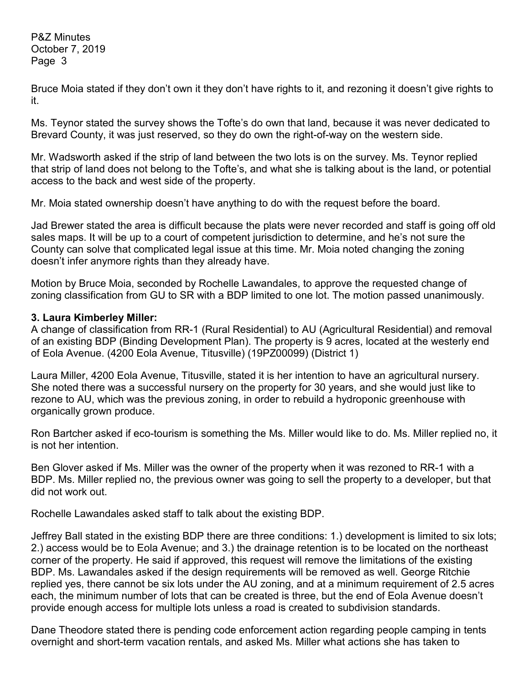Bruce Moia stated if they don't own it they don't have rights to it, and rezoning it doesn't give rights to it.

Ms. Teynor stated the survey shows the Tofte's do own that land, because it was never dedicated to Brevard County, it was just reserved, so they do own the right-of-way on the western side.

Mr. Wadsworth asked if the strip of land between the two lots is on the survey. Ms. Teynor replied that strip of land does not belong to the Tofte's, and what she is talking about is the land, or potential access to the back and west side of the property.

Mr. Moia stated ownership doesn't have anything to do with the request before the board.

Jad Brewer stated the area is difficult because the plats were never recorded and staff is going off old sales maps. It will be up to a court of competent jurisdiction to determine, and he's not sure the County can solve that complicated legal issue at this time. Mr. Moia noted changing the zoning doesn't infer anymore rights than they already have.

Motion by Bruce Moia, seconded by Rochelle Lawandales, to approve the requested change of zoning classification from GU to SR with a BDP limited to one lot. The motion passed unanimously.

### **3. Laura Kimberley Miller:**

A change of classification from RR-1 (Rural Residential) to AU (Agricultural Residential) and removal of an existing BDP (Binding Development Plan). The property is 9 acres, located at the westerly end of Eola Avenue. (4200 Eola Avenue, Titusville) (19PZ00099) (District 1)

Laura Miller, 4200 Eola Avenue, Titusville, stated it is her intention to have an agricultural nursery. She noted there was a successful nursery on the property for 30 years, and she would just like to rezone to AU, which was the previous zoning, in order to rebuild a hydroponic greenhouse with organically grown produce.

Ron Bartcher asked if eco-tourism is something the Ms. Miller would like to do. Ms. Miller replied no, it is not her intention.

Ben Glover asked if Ms. Miller was the owner of the property when it was rezoned to RR-1 with a BDP. Ms. Miller replied no, the previous owner was going to sell the property to a developer, but that did not work out.

Rochelle Lawandales asked staff to talk about the existing BDP.

Jeffrey Ball stated in the existing BDP there are three conditions: 1.) development is limited to six lots; 2.) access would be to Eola Avenue; and 3.) the drainage retention is to be located on the northeast corner of the property. He said if approved, this request will remove the limitations of the existing BDP. Ms. Lawandales asked if the design requirements will be removed as well. George Ritchie replied yes, there cannot be six lots under the AU zoning, and at a minimum requirement of 2.5 acres each, the minimum number of lots that can be created is three, but the end of Eola Avenue doesn't provide enough access for multiple lots unless a road is created to subdivision standards.

Dane Theodore stated there is pending code enforcement action regarding people camping in tents overnight and short-term vacation rentals, and asked Ms. Miller what actions she has taken to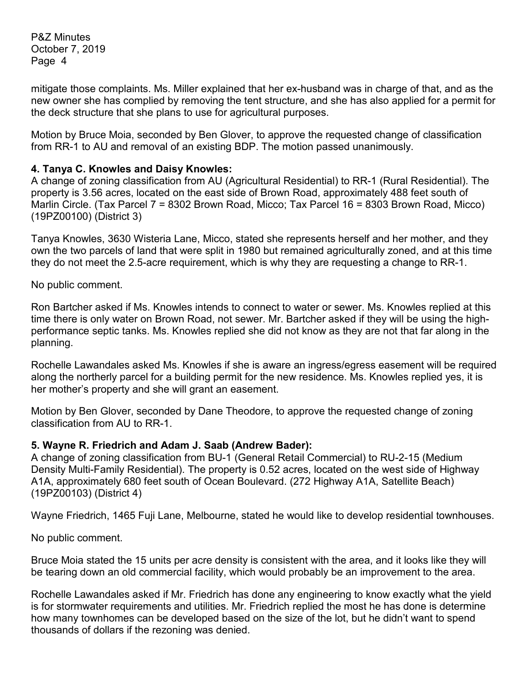mitigate those complaints. Ms. Miller explained that her ex-husband was in charge of that, and as the new owner she has complied by removing the tent structure, and she has also applied for a permit for the deck structure that she plans to use for agricultural purposes.

Motion by Bruce Moia, seconded by Ben Glover, to approve the requested change of classification from RR-1 to AU and removal of an existing BDP. The motion passed unanimously.

### **4. Tanya C. Knowles and Daisy Knowles:**

A change of zoning classification from AU (Agricultural Residential) to RR-1 (Rural Residential). The property is 3.56 acres, located on the east side of Brown Road, approximately 488 feet south of Marlin Circle. (Tax Parcel 7 = 8302 Brown Road, Micco; Tax Parcel 16 = 8303 Brown Road, Micco) (19PZ00100) (District 3)

Tanya Knowles, 3630 Wisteria Lane, Micco, stated she represents herself and her mother, and they own the two parcels of land that were split in 1980 but remained agriculturally zoned, and at this time they do not meet the 2.5-acre requirement, which is why they are requesting a change to RR-1.

No public comment.

Ron Bartcher asked if Ms. Knowles intends to connect to water or sewer. Ms. Knowles replied at this time there is only water on Brown Road, not sewer. Mr. Bartcher asked if they will be using the highperformance septic tanks. Ms. Knowles replied she did not know as they are not that far along in the planning.

Rochelle Lawandales asked Ms. Knowles if she is aware an ingress/egress easement will be required along the northerly parcel for a building permit for the new residence. Ms. Knowles replied yes, it is her mother's property and she will grant an easement.

Motion by Ben Glover, seconded by Dane Theodore, to approve the requested change of zoning classification from AU to RR-1.

# **5. Wayne R. Friedrich and Adam J. Saab (Andrew Bader):**

A change of zoning classification from BU-1 (General Retail Commercial) to RU-2-15 (Medium Density Multi-Family Residential). The property is 0.52 acres, located on the west side of Highway A1A, approximately 680 feet south of Ocean Boulevard. (272 Highway A1A, Satellite Beach) (19PZ00103) (District 4)

Wayne Friedrich, 1465 Fuji Lane, Melbourne, stated he would like to develop residential townhouses.

No public comment.

Bruce Moia stated the 15 units per acre density is consistent with the area, and it looks like they will be tearing down an old commercial facility, which would probably be an improvement to the area.

Rochelle Lawandales asked if Mr. Friedrich has done any engineering to know exactly what the yield is for stormwater requirements and utilities. Mr. Friedrich replied the most he has done is determine how many townhomes can be developed based on the size of the lot, but he didn't want to spend thousands of dollars if the rezoning was denied.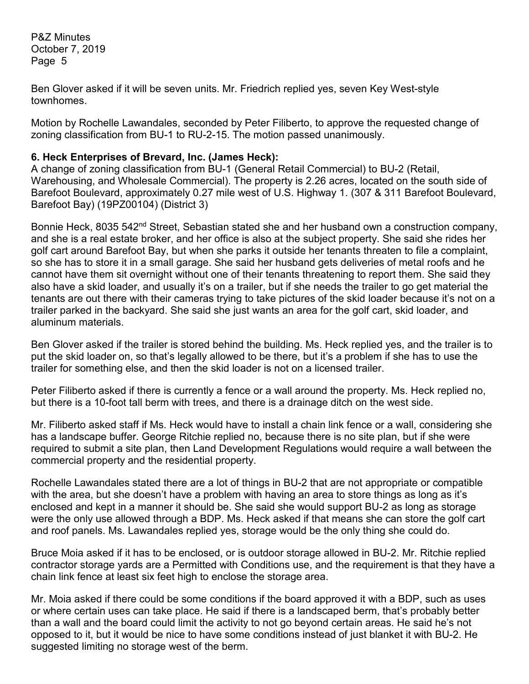Ben Glover asked if it will be seven units. Mr. Friedrich replied yes, seven Key West-style townhomes.

Motion by Rochelle Lawandales, seconded by Peter Filiberto, to approve the requested change of zoning classification from BU-1 to RU-2-15. The motion passed unanimously.

### **6. Heck Enterprises of Brevard, Inc. (James Heck):**

A change of zoning classification from BU-1 (General Retail Commercial) to BU-2 (Retail, Warehousing, and Wholesale Commercial). The property is 2.26 acres, located on the south side of Barefoot Boulevard, approximately 0.27 mile west of U.S. Highway 1. (307 & 311 Barefoot Boulevard, Barefoot Bay) (19PZ00104) (District 3)

Bonnie Heck, 8035 542<sup>nd</sup> Street, Sebastian stated she and her husband own a construction company, and she is a real estate broker, and her office is also at the subject property. She said she rides her golf cart around Barefoot Bay, but when she parks it outside her tenants threaten to file a complaint, so she has to store it in a small garage. She said her husband gets deliveries of metal roofs and he cannot have them sit overnight without one of their tenants threatening to report them. She said they also have a skid loader, and usually it's on a trailer, but if she needs the trailer to go get material the tenants are out there with their cameras trying to take pictures of the skid loader because it's not on a trailer parked in the backyard. She said she just wants an area for the golf cart, skid loader, and aluminum materials.

Ben Glover asked if the trailer is stored behind the building. Ms. Heck replied yes, and the trailer is to put the skid loader on, so that's legally allowed to be there, but it's a problem if she has to use the trailer for something else, and then the skid loader is not on a licensed trailer.

Peter Filiberto asked if there is currently a fence or a wall around the property. Ms. Heck replied no, but there is a 10-foot tall berm with trees, and there is a drainage ditch on the west side.

Mr. Filiberto asked staff if Ms. Heck would have to install a chain link fence or a wall, considering she has a landscape buffer. George Ritchie replied no, because there is no site plan, but if she were required to submit a site plan, then Land Development Regulations would require a wall between the commercial property and the residential property.

Rochelle Lawandales stated there are a lot of things in BU-2 that are not appropriate or compatible with the area, but she doesn't have a problem with having an area to store things as long as it's enclosed and kept in a manner it should be. She said she would support BU-2 as long as storage were the only use allowed through a BDP. Ms. Heck asked if that means she can store the golf cart and roof panels. Ms. Lawandales replied yes, storage would be the only thing she could do.

Bruce Moia asked if it has to be enclosed, or is outdoor storage allowed in BU-2. Mr. Ritchie replied contractor storage yards are a Permitted with Conditions use, and the requirement is that they have a chain link fence at least six feet high to enclose the storage area.

Mr. Moia asked if there could be some conditions if the board approved it with a BDP, such as uses or where certain uses can take place. He said if there is a landscaped berm, that's probably better than a wall and the board could limit the activity to not go beyond certain areas. He said he's not opposed to it, but it would be nice to have some conditions instead of just blanket it with BU-2. He suggested limiting no storage west of the berm.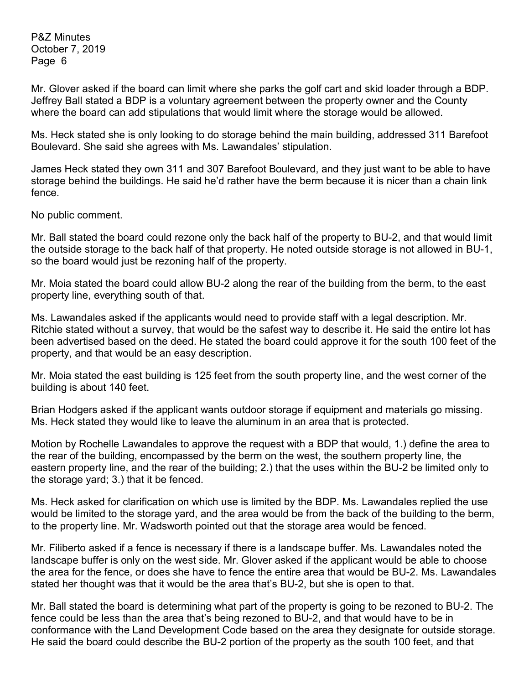Mr. Glover asked if the board can limit where she parks the golf cart and skid loader through a BDP. Jeffrey Ball stated a BDP is a voluntary agreement between the property owner and the County where the board can add stipulations that would limit where the storage would be allowed.

Ms. Heck stated she is only looking to do storage behind the main building, addressed 311 Barefoot Boulevard. She said she agrees with Ms. Lawandales' stipulation.

James Heck stated they own 311 and 307 Barefoot Boulevard, and they just want to be able to have storage behind the buildings. He said he'd rather have the berm because it is nicer than a chain link fence.

No public comment.

Mr. Ball stated the board could rezone only the back half of the property to BU-2, and that would limit the outside storage to the back half of that property. He noted outside storage is not allowed in BU-1, so the board would just be rezoning half of the property.

Mr. Moia stated the board could allow BU-2 along the rear of the building from the berm, to the east property line, everything south of that.

Ms. Lawandales asked if the applicants would need to provide staff with a legal description. Mr. Ritchie stated without a survey, that would be the safest way to describe it. He said the entire lot has been advertised based on the deed. He stated the board could approve it for the south 100 feet of the property, and that would be an easy description.

Mr. Moia stated the east building is 125 feet from the south property line, and the west corner of the building is about 140 feet.

Brian Hodgers asked if the applicant wants outdoor storage if equipment and materials go missing. Ms. Heck stated they would like to leave the aluminum in an area that is protected.

Motion by Rochelle Lawandales to approve the request with a BDP that would, 1.) define the area to the rear of the building, encompassed by the berm on the west, the southern property line, the eastern property line, and the rear of the building; 2.) that the uses within the BU-2 be limited only to the storage yard; 3.) that it be fenced.

Ms. Heck asked for clarification on which use is limited by the BDP. Ms. Lawandales replied the use would be limited to the storage yard, and the area would be from the back of the building to the berm, to the property line. Mr. Wadsworth pointed out that the storage area would be fenced.

Mr. Filiberto asked if a fence is necessary if there is a landscape buffer. Ms. Lawandales noted the landscape buffer is only on the west side. Mr. Glover asked if the applicant would be able to choose the area for the fence, or does she have to fence the entire area that would be BU-2. Ms. Lawandales stated her thought was that it would be the area that's BU-2, but she is open to that.

Mr. Ball stated the board is determining what part of the property is going to be rezoned to BU-2. The fence could be less than the area that's being rezoned to BU-2, and that would have to be in conformance with the Land Development Code based on the area they designate for outside storage. He said the board could describe the BU-2 portion of the property as the south 100 feet, and that